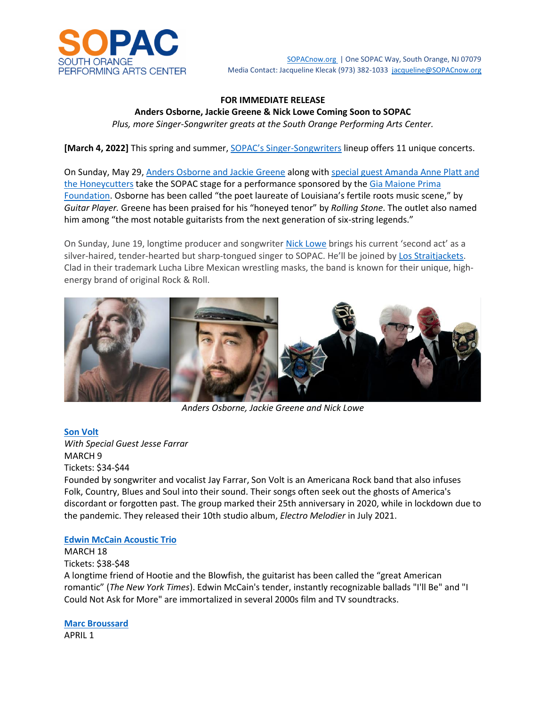

SOPACnow.org | One SOPAC Way, South Orange, NJ 07079 Media Contact: Jacqueline Klecak (973) 382-1033 jacqueline@SOPACnow.org

### **FOR IMMEDIATE RELEASE**

**Anders Osborne, Jackie Greene & Nick Lowe Coming Soon to SOPAC** *Plus, more Singer-Songwriter greats at the South Orange Performing Arts Center.*

**[March 4, 2022]** This spring and summer, SOPAC's Singer-Songwriters lineup offers 11 unique concerts.

On Sunday, May 29, Anders Osborne and Jackie Greene along with special guest Amanda Anne Platt and the Honeycutters take the SOPAC stage for a performance sponsored by the Gia Maione Prima Foundation. Osborne has been called "the poet laureate of Louisiana's fertile roots music scene," by *Guitar Player.* Greene has been praised for his "honeyed tenor" by *Rolling Stone*. The outlet also named him among "the most notable guitarists from the next generation of six-string legends."

On Sunday, June 19, longtime producer and songwriter Nick Lowe brings his current 'second act' as a silver-haired, tender-hearted but sharp-tongued singer to SOPAC. He'll be joined by Los Straitjackets. Clad in their trademark Lucha Libre Mexican wrestling masks, the band is known for their unique, highenergy brand of original Rock & Roll.



*Anders Osborne, Jackie Greene and Nick Lowe*

**Son Volt**

*With Special Guest Jesse Farrar* MARCH 9 Tickets: \$34-\$44

Founded by songwriter and vocalist Jay Farrar, Son Volt is an Americana Rock band that also infuses Folk, Country, Blues and Soul into their sound. Their songs often seek out the ghosts of America's discordant or forgotten past. The group marked their 25th anniversary in 2020, while in lockdown due to the pandemic. They released their 10th studio album, *Electro Melodier* in July 2021.

#### **Edwin McCain Acoustic Trio**

MARCH 18

Tickets: \$38-\$48 A longtime friend of Hootie and the Blowfish, the guitarist has been called the "great American romantic" (*The New York Times*). Edwin McCain's tender, instantly recognizable ballads "I'll Be" and "I Could Not Ask for More" are immortalized in several 2000s film and TV soundtracks.

**Marc Broussard** APRIL 1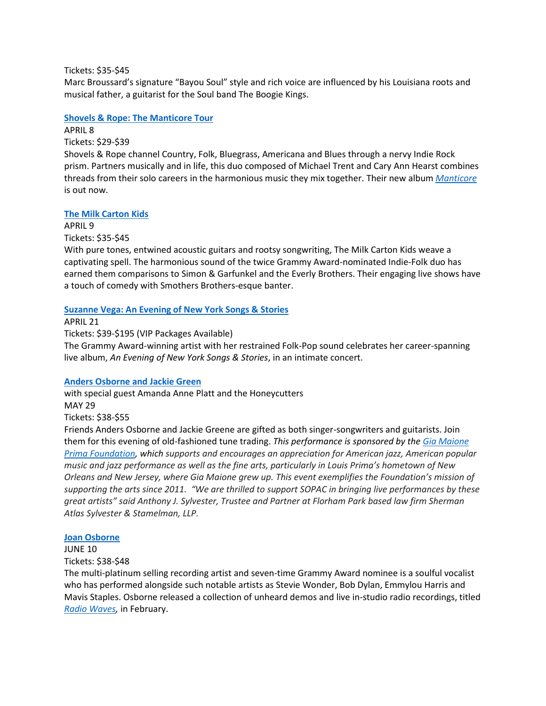Tickets: \$35-\$45

Marc Broussard's signature "Bayou Soul" style and rich voice are influenced by his Louisiana roots and musical father, a guitarist for the Soul band The Boogie Kings.

**Shovels & Rope: The Manticore Tour**

APRIL 8 Tickets: \$29-\$39

Shovels & Rope channel Country, Folk, Bluegrass, Americana and Blues through a nervy Indie Rock prism. Partners musically and in life, this duo composed of Michael Trent and Cary Ann Hearst combines threads from their solo careers in the harmonious music they mix together. Their new album *Manticore* is out now.

# **The Milk Carton Kids**

APRIL 9 Tickets: \$35-\$45

With pure tones, entwined acoustic guitars and rootsy songwriting, The Milk Carton Kids weave a captivating spell. The harmonious sound of the twice Grammy Award-nominated Indie-Folk duo has earned them comparisons to Simon & Garfunkel and the Everly Brothers. Their engaging live shows have a touch of comedy with Smothers Brothers-esque banter.

# **Suzanne Vega: An Evening of New York Songs & Stories**

APRIL 21 Tickets: \$39-\$195 (VIP Packages Available) The Grammy Award-winning artist with her restrained Folk-Pop sound celebrates her career-spanning live album, *An Evening of New York Songs & Stories*, in an intimate concert.

## **Anders Osborne and Jackie Green**

with special guest Amanda Anne Platt and the Honeycutters MAY 29 Tickets: \$38-\$55 Friends Anders Osborne and Jackie Greene are gifted as both singer-songwriters and guitarists. Join

them for this evening of old-fashioned tune trading. *This performance is sponsored by the Gia Maione Prima Foundation, which supports and encourages an appreciation for American jazz, American popular music and jazz performance as well as the fine arts, particularly in Louis Prima's hometown of New Orleans and New Jersey, where Gia Maione grew up. This event exemplifies the Foundation's mission of supporting the arts since 2011. "We are thrilled to support SOPAC in bringing live performances by these great artists" said Anthony J. Sylvester, Trustee and Partner at Florham Park based law firm Sherman Atlas Sylvester & Stamelman, LLP.*

## **Joan Osborne**

JUNE 10

Tickets: \$38-\$48

The multi-platinum selling recording artist and seven-time Grammy Award nominee is a soulful vocalist who has performed alongside such notable artists as Stevie Wonder, Bob Dylan, Emmylou Harris and Mavis Staples. Osborne released a collection of unheard demos and live in-studio radio recordings, titled *Radio Waves,* in February.